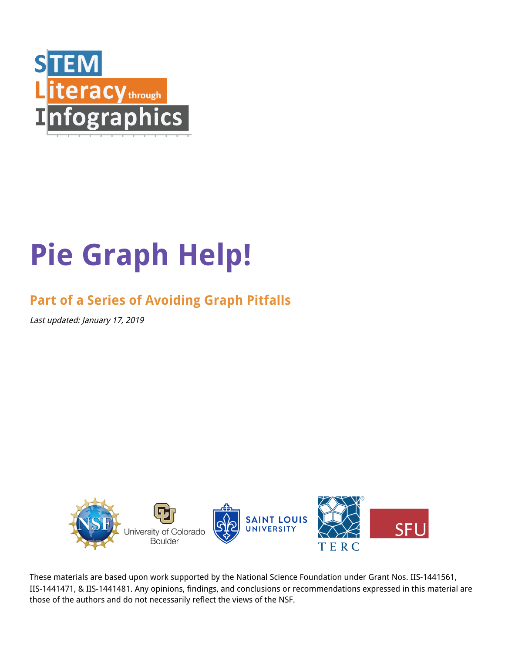

# **Pie Graph Help!**

# **Part of a Series of Avoiding Graph Pitfalls**

Last updated: January 17, 2019



These materials are based upon work supported by the National Science Foundation under Grant Nos. IIS-1441561, IIS-1441471, & IIS-1441481. Any opinions, findings, and conclusions or recommendations expressed in this material are those of the authors and do not necessarily reflect the views of the NSF.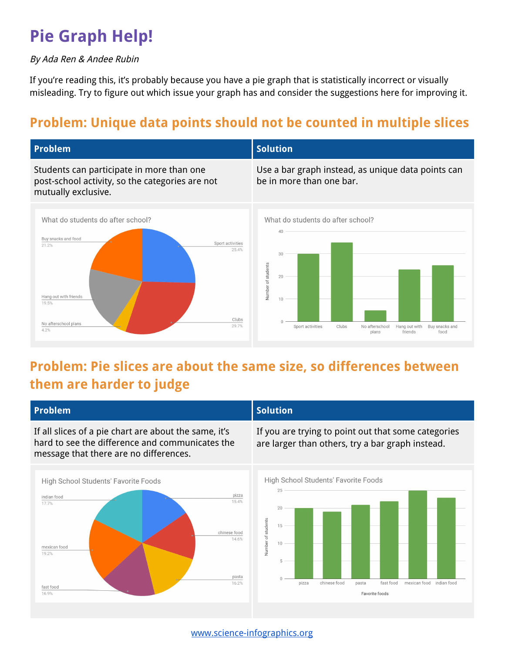# **Pie Graph Help!**

#### By Ada Ren & Andee Rubin

If you're reading this, it's probably because you have a pie graph that is statistically incorrect or visually misleading. Try to figure out which issue your graph has and consider the suggestions here for improving it.

## **Problem: Unique data points should not be counted in multiple slices**



### **Problem: Pie slices are about the same size, so differences between them are harder to judge**

| <b>Problem</b>                                                                                                                                                           | <b>Solution</b>                                                                                                                                                                      |
|--------------------------------------------------------------------------------------------------------------------------------------------------------------------------|--------------------------------------------------------------------------------------------------------------------------------------------------------------------------------------|
| If all slices of a pie chart are about the same, it's<br>hard to see the difference and communicates the<br>message that there are no differences.                       | If you are trying to point out that some categories<br>are larger than others, try a bar graph instead.                                                                              |
| High School Students' Favorite Foods<br>pizza<br>indian food<br>15.4%<br>17.7%<br>chinese food<br>14.6%<br>mexican food<br>19.2%<br>pasta<br>16.2%<br>fast food<br>16.9% | High School Students' Favorite Foods<br>25<br>20<br>Number of students<br>15<br>10<br>5<br>chinese food<br>fast food<br>mexican food indian food<br>pasta<br>pizza<br>Favorite foods |

[www.science-infographics.org](http://www.science-infographics.org/)